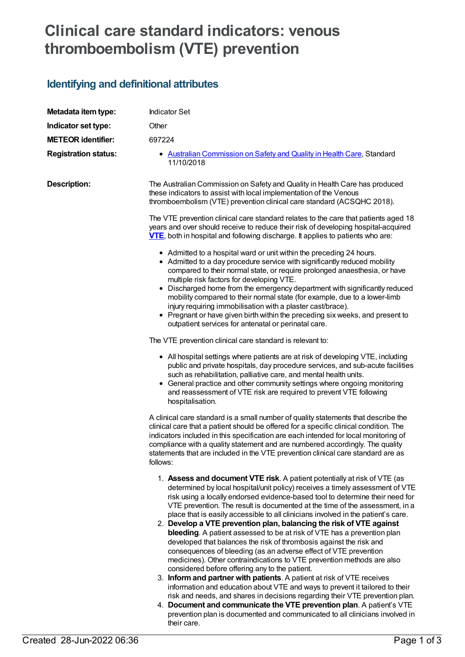## **Clinical care standard indicators: venous thromboembolism (VTE) prevention**

## **Identifying and definitional attributes**

| Metadata item type:         | <b>Indicator Set</b>                                                                                                                                                                                                                                                                                                                                                                                                                                                                                                                                                                                                                                                                                                                                                                                                                                                                                                                                                                                                                                                                                                                                                                                                                                       |
|-----------------------------|------------------------------------------------------------------------------------------------------------------------------------------------------------------------------------------------------------------------------------------------------------------------------------------------------------------------------------------------------------------------------------------------------------------------------------------------------------------------------------------------------------------------------------------------------------------------------------------------------------------------------------------------------------------------------------------------------------------------------------------------------------------------------------------------------------------------------------------------------------------------------------------------------------------------------------------------------------------------------------------------------------------------------------------------------------------------------------------------------------------------------------------------------------------------------------------------------------------------------------------------------------|
| Indicator set type:         | Other                                                                                                                                                                                                                                                                                                                                                                                                                                                                                                                                                                                                                                                                                                                                                                                                                                                                                                                                                                                                                                                                                                                                                                                                                                                      |
| <b>METEOR identifier:</b>   | 697224                                                                                                                                                                                                                                                                                                                                                                                                                                                                                                                                                                                                                                                                                                                                                                                                                                                                                                                                                                                                                                                                                                                                                                                                                                                     |
| <b>Registration status:</b> | • Australian Commission on Safety and Quality in Health Care, Standard<br>11/10/2018                                                                                                                                                                                                                                                                                                                                                                                                                                                                                                                                                                                                                                                                                                                                                                                                                                                                                                                                                                                                                                                                                                                                                                       |
| <b>Description:</b>         | The Australian Commission on Safety and Quality in Health Care has produced<br>these indicators to assist with local implementation of the Venous<br>thromboembolism (VTE) prevention clinical care standard (ACSQHC 2018).                                                                                                                                                                                                                                                                                                                                                                                                                                                                                                                                                                                                                                                                                                                                                                                                                                                                                                                                                                                                                                |
|                             | The VTE prevention clinical care standard relates to the care that patients aged 18<br>years and over should receive to reduce their risk of developing hospital-acquired<br><b>VTE</b> , both in hospital and following discharge. It applies to patients who are:                                                                                                                                                                                                                                                                                                                                                                                                                                                                                                                                                                                                                                                                                                                                                                                                                                                                                                                                                                                        |
|                             | • Admitted to a hospital ward or unit within the preceding 24 hours.<br>• Admitted to a day procedure service with significantly reduced mobility<br>compared to their normal state, or require prolonged anaesthesia, or have<br>multiple risk factors for developing VTE.<br>• Discharged home from the emergency department with significantly reduced<br>mobility compared to their normal state (for example, due to a lower-limb<br>injury requiring immobilisation with a plaster cast/brace).<br>• Pregnant or have given birth within the preceding six weeks, and present to<br>outpatient services for antenatal or perinatal care.                                                                                                                                                                                                                                                                                                                                                                                                                                                                                                                                                                                                             |
|                             | The VTE prevention clinical care standard is relevant to:                                                                                                                                                                                                                                                                                                                                                                                                                                                                                                                                                                                                                                                                                                                                                                                                                                                                                                                                                                                                                                                                                                                                                                                                  |
|                             | • All hospital settings where patients are at risk of developing VTE, including<br>public and private hospitals, day procedure services, and sub-acute facilities<br>such as rehabilitation, palliative care, and mental health units.<br>• General practice and other community settings where ongoing monitoring<br>and reassessment of VTE risk are required to prevent VTE following<br>hospitalisation.                                                                                                                                                                                                                                                                                                                                                                                                                                                                                                                                                                                                                                                                                                                                                                                                                                               |
|                             | A clinical care standard is a small number of quality statements that describe the<br>clinical care that a patient should be offered for a specific clinical condition. The<br>indicators included in this specification are each intended for local monitoring of<br>compliance with a quality statement and are numbered accordingly. The quality<br>statements that are included in the VTE prevention clinical care standard are as<br>follows:                                                                                                                                                                                                                                                                                                                                                                                                                                                                                                                                                                                                                                                                                                                                                                                                        |
|                             | 1. Assess and document VTE risk. A patient potentially at risk of VTE (as<br>determined by local hospital/unit policy) receives a timely assessment of VTE<br>risk using a locally endorsed evidence-based tool to determine their need for<br>VTE prevention. The result is documented at the time of the assessment, in a<br>place that is easily accessible to all clinicians involved in the patient's care.<br>2. Develop a VTE prevention plan, balancing the risk of VTE against<br>bleeding. A patient assessed to be at risk of VTE has a prevention plan<br>developed that balances the risk of thrombosis against the risk and<br>consequences of bleeding (as an adverse effect of VTE prevention<br>medicines). Other contraindications to VTE prevention methods are also<br>considered before offering any to the patient.<br>3. Inform and partner with patients. A patient at risk of VTE receives<br>information and education about VTE and ways to prevent it tailored to their<br>risk and needs, and shares in decisions regarding their VTE prevention plan.<br>4. Document and communicate the VTE prevention plan. A patient's VTE<br>prevention plan is documented and communicated to all clinicians involved in<br>their care. |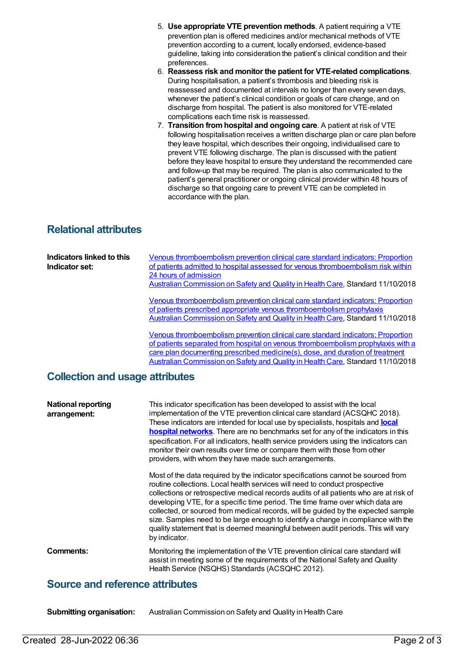- 5. **Use appropriate VTE prevention methods**. A patient requiring a VTE prevention plan is offered medicines and/or mechanical methods of VTE prevention according to a current, locally endorsed, evidence-based guideline, taking into consideration the patient's clinical condition and their preferences.
- 6. **Reassess risk and monitor the patient for VTE-related complications**. During hospitalisation, a patient's thrombosis and bleeding risk is reassessed and documented at intervals no longer than every seven days, whenever the patient's clinical condition or goals of care change, and on discharge from hospital. The patient is also monitored for VTE-related complications each time risk is reassessed.
- 7. **Transition fromhospital and ongoing care**. A patient at risk of VTE following hospitalisation receives a written discharge plan or care plan before they leave hospital, which describes their ongoing, individualised care to prevent VTE following discharge. The plan is discussed with the patient before they leave hospital to ensure they understand the recommended care and follow-up that may be required. The plan is also communicated to the patient's general practitioner or ongoing clinical provider within 48 hours of discharge so that ongoing care to prevent VTE can be completed in accordance with the plan.

## **Relational attributes**

| Indicators linked to this<br>Indicator set: | Venous thromboembolism prevention clinical care standard indicators: Proportion<br>of patients admitted to hospital assessed for venous thromboembolism risk within<br>24 hours of admission<br>Australian Commission on Safety and Quality in Health Care, Standard 11/10/2018<br>Venous thromboembolism prevention clinical care standard indicators: Proportion<br>of patients prescribed appropriate venous thromboembolism prophylaxis<br>Australian Commission on Safety and Quality in Health Care, Standard 11/10/2018<br>Venous thromboembolism prevention clinical care standard indicators: Proportion<br>of patients separated from hospital on venous thromboembolism prophylaxis with a<br>care plan documenting prescribed medicine(s), dose, and duration of treatment<br>Australian Commission on Safety and Quality in Health Care, Standard 11/10/2018 |  |
|---------------------------------------------|---------------------------------------------------------------------------------------------------------------------------------------------------------------------------------------------------------------------------------------------------------------------------------------------------------------------------------------------------------------------------------------------------------------------------------------------------------------------------------------------------------------------------------------------------------------------------------------------------------------------------------------------------------------------------------------------------------------------------------------------------------------------------------------------------------------------------------------------------------------------------|--|
| <b>Collection and usage attributes</b>      |                                                                                                                                                                                                                                                                                                                                                                                                                                                                                                                                                                                                                                                                                                                                                                                                                                                                           |  |
| <b>National reporting</b><br>arrangement:   | This indicator specification has been developed to assist with the local<br>implementation of the VTE prevention clinical care standard (ACSQHC 2018).<br>These indicators are intended for local use by specialists, hospitals and <b>local</b><br>hospital networks. There are no benchmarks set for any of the indicators in this<br>specification. For all indicators, health service providers using the indicators can<br>monitor their own results over time or compare them with those from other<br>providers, with whom they have made such arrangements.                                                                                                                                                                                                                                                                                                       |  |
|                                             | Most of the data required by the indicator specifications cannot be sourced from<br>routine collections. Local health services will need to conduct prospective<br>collections or retrospective medical records audits of all patients who are at risk of<br>developing VTE, for a specific time period. The time frame over which data are<br>collected, or sourced from medical records, will be guided by the expected sample<br>size. Samples need to be large enough to identify a change in compliance with the<br>quality statement that is deemed meaningful between audit periods. This will vary<br>by indicator.                                                                                                                                                                                                                                               |  |
| <b>Comments:</b>                            | Monitoring the implementation of the VTE prevention clinical care standard will<br>assist in meeting some of the requirements of the National Safety and Quality<br>Health Service (NSQHS) Standards (ACSQHC 2012).                                                                                                                                                                                                                                                                                                                                                                                                                                                                                                                                                                                                                                                       |  |
| <b>Source and reference attributes</b>      |                                                                                                                                                                                                                                                                                                                                                                                                                                                                                                                                                                                                                                                                                                                                                                                                                                                                           |  |

**Submitting organisation:** Australian Commission on Safety and Quality in Health Care